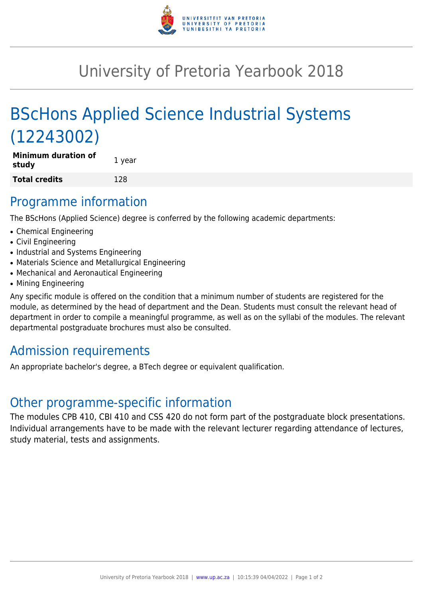

# University of Pretoria Yearbook 2018

# BScHons Applied Science Industrial Systems (12243002)

**Minimum duration of study** 1 year **Total credits** 128

### Programme information

The BScHons (Applied Science) degree is conferred by the following academic departments:

- Chemical Engineering
- Civil Engineering
- Industrial and Systems Engineering
- Materials Science and Metallurgical Engineering
- Mechanical and Aeronautical Engineering
- Mining Engineering

Any specific module is offered on the condition that a minimum number of students are registered for the module, as determined by the head of department and the Dean. Students must consult the relevant head of department in order to compile a meaningful programme, as well as on the syllabi of the modules. The relevant departmental postgraduate brochures must also be consulted.

## Admission requirements

An appropriate bachelor's degree, a BTech degree or equivalent qualification.

### Other programme-specific information

The modules CPB 410, CBI 410 and CSS 420 do not form part of the postgraduate block presentations. Individual arrangements have to be made with the relevant lecturer regarding attendance of lectures, study material, tests and assignments.